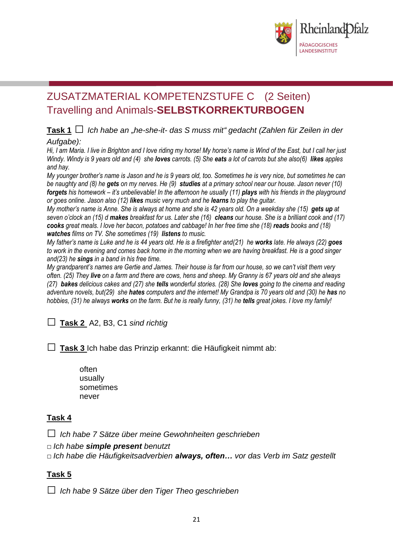

# ZUSATZMATERIAL KOMPETENZSTUFE C (2 Seiten) Travelling and Animals-**SELBSTKORREKTURBOGEN**

### **Task <sup>1</sup>** □ *Ich habe an "he-she-it- das S muss mit" gedacht (Zahlen für Zeilen in der Aufgabe):*

*Hi, I am Maria. I live in Brighton and I love riding my horse! My horse's name is Wind of the East, but I call her just Windy. Windy is 9 years old and (4) she loves carrots. (5) She eats a lot of carrots but she also(6) likes apples and hay.* 

*My younger brother's name is Jason and he is 9 years old, too. Sometimes he is very nice, but sometimes he can be naughty and (8) he gets on my nerves. He (9) studies at a primary school near our house. Jason never (10) forgets his homework – it's unbelievable! In the afternoon he usually (11) plays with his friends in the playground or goes online. Jason also (12) likes music very much and he learns to play the guitar.* 

*My mother's name is Anne. She is always at home and she is 42 years old. On a weekday she (15) gets up at seven o'clock an (15) d makes breakfast for us. Later she (16) cleans our house. She is a brilliant cook and (17) cooks great meals. I love her bacon, potatoes and cabbage! In her free time she (18) reads books and (18) watches films on TV. She sometimes (19) listens to music.* 

*My father's name is Luke and he is 44 years old. He is a firefighter and(21) he works late. He always (22) goes to work in the evening and comes back home in the morning when we are having breakfast. He is a good singer and(23) he sings in a band in his free time.* 

*My grandparent's names are Gertie and James. Their house is far from our house, so we can't visit them very often. (25) They live on a farm and there are cows, hens and sheep. My Granny is 67 years old and she always (27) bakes delicious cakes and (27) she tells wonderful stories. (28) She loves going to the cinema and reading adventure novels, but(29) she hates computers and the internet! My Grandpa is 70 years old and (30) he has no hobbies, (31) he always works on the farm. But he is really funny, (31) he tells great jokes. I love my family!*

```
□ Task 2A2, B3, C1 sind richtig
```
□ **Task <sup>3</sup>**Ich habe das Prinzip erkannt: die Häufigkeit nimmt ab:

often usually sometimes never

## **Task 4**

□ *Ich habe <sup>7</sup> Sätze über meine Gewohnheiten geschrieben*

□ *Ich habe simple present benutzt*

*□ Ich habe die Häufigkeitsadverbien always, often… vor das Verb im Satz gestellt*

## **Task 5**

□ *Ich habe <sup>9</sup> Sätze über den Tiger Theo geschrieben*